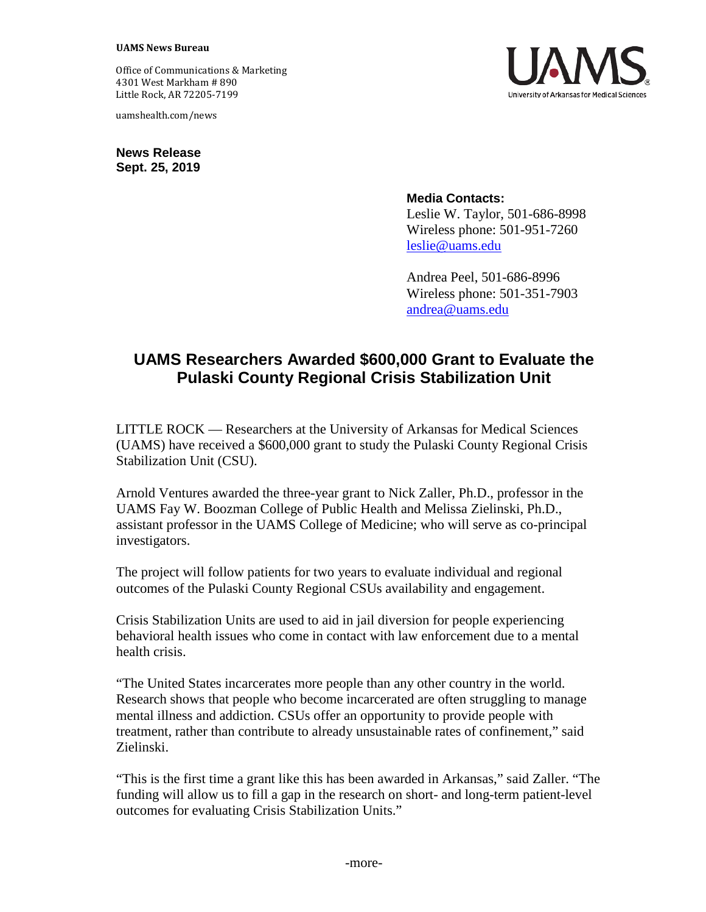Office of Communications & Marketing 4301 West Markham # 890 Little Rock, AR 72205-7199

uamshealth.com/news

**News Release Sept. 25, 2019**



**Media Contacts:**

Leslie W. Taylor, 501-686-8998 Wireless phone: 501-951-7260 [leslie@uams.edu](mailto:leslie@uams.edu)

Andrea Peel, 501-686-8996 Wireless phone: 501-351-7903 [andrea@uams.edu](mailto:liz@uams.edu)

## **UAMS Researchers Awarded \$600,000 Grant to Evaluate the Pulaski County Regional Crisis Stabilization Unit**

LITTLE ROCK — Researchers at the University of Arkansas for Medical Sciences (UAMS) have received a \$600,000 grant to study the Pulaski County Regional Crisis Stabilization Unit (CSU).

Arnold Ventures awarded the three-year grant to Nick Zaller, Ph.D., professor in the UAMS Fay W. Boozman College of Public Health and Melissa Zielinski, Ph.D., assistant professor in the UAMS College of Medicine; who will serve as co-principal investigators.

The project will follow patients for two years to evaluate individual and regional outcomes of the Pulaski County Regional CSUs availability and engagement.

Crisis Stabilization Units are used to aid in jail diversion for people experiencing behavioral health issues who come in contact with law enforcement due to a mental health crisis.

"The United States incarcerates more people than any other country in the world. Research shows that people who become incarcerated are often struggling to manage mental illness and addiction. CSUs offer an opportunity to provide people with treatment, rather than contribute to already unsustainable rates of confinement," said Zielinski.

"This is the first time a grant like this has been awarded in Arkansas," said Zaller. "The funding will allow us to fill a gap in the research on short- and long-term patient-level outcomes for evaluating Crisis Stabilization Units."